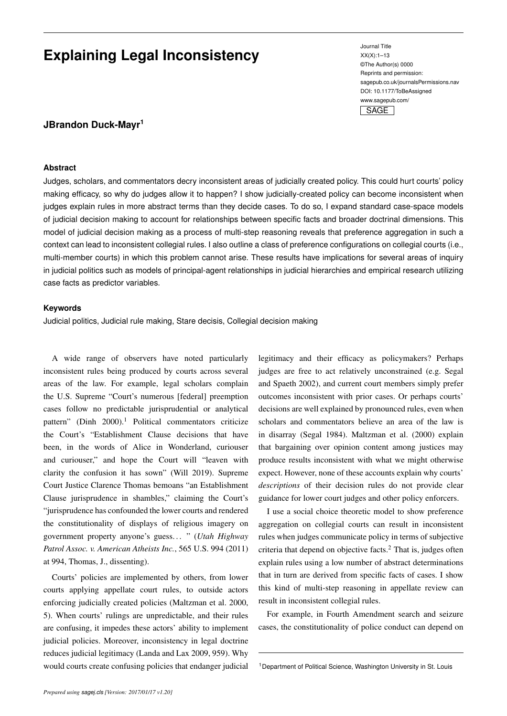# **Explaining Legal Inconsistency**

Journal Title XX(X):1–13 ©The Author(s) 0000 Reprints and permission: sagepub.co.uk/journalsPermissions.nav DOI: 10.1177/ToBeAssigned www.sagepub.com/



## **JBrandon Duck-Mayr<sup>1</sup>**

#### **Abstract**

Judges, scholars, and commentators decry inconsistent areas of judicially created policy. This could hurt courts' policy making efficacy, so why do judges allow it to happen? I show judicially-created policy can become inconsistent when judges explain rules in more abstract terms than they decide cases. To do so, I expand standard case-space models of judicial decision making to account for relationships between specific facts and broader doctrinal dimensions. This model of judicial decision making as a process of multi-step reasoning reveals that preference aggregation in such a context can lead to inconsistent collegial rules. I also outline a class of preference configurations on collegial courts (i.e., multi-member courts) in which this problem cannot arise. These results have implications for several areas of inquiry in judicial politics such as models of principal-agent relationships in judicial hierarchies and empirical research utilizing case facts as predictor variables.

#### **Keywords**

Judicial politics, Judicial rule making, Stare decisis, Collegial decision making

A wide range of observers have noted particularly inconsistent rules being produced by courts across several areas of the law. For example, legal scholars complain the U.S. Supreme "Court's numerous [federal] preemption cases follow no predictable jurisprudential or analytical pattern" (Dinh 2000).<sup>1</sup> Political commentators criticize the Court's "Establishment Clause decisions that have been, in the words of Alice in Wonderland, curiouser and curiouser," and hope the Court will "leaven with clarity the confusion it has sown" (Will 2019). Supreme Court Justice Clarence Thomas bemoans "an Establishment Clause jurisprudence in shambles," claiming the Court's "jurisprudence has confounded the lower courts and rendered the constitutionality of displays of religious imagery on government property anyone's guess. . . " (*Utah Highway Patrol Assoc. v. American Atheists Inc.*, 565 U.S. 994 (2011) at 994, Thomas, J., dissenting).

Courts' policies are implemented by others, from lower courts applying appellate court rules, to outside actors enforcing judicially created policies (Maltzman et al. 2000, 5). When courts' rulings are unpredictable, and their rules are confusing, it impedes these actors' ability to implement judicial policies. Moreover, inconsistency in legal doctrine reduces judicial legitimacy (Landa and Lax 2009, 959). Why would courts create confusing policies that endanger judicial

legitimacy and their efficacy as policymakers? Perhaps judges are free to act relatively unconstrained (e.g. Segal and Spaeth 2002), and current court members simply prefer outcomes inconsistent with prior cases. Or perhaps courts' decisions are well explained by pronounced rules, even when scholars and commentators believe an area of the law is in disarray (Segal 1984). Maltzman et al. (2000) explain that bargaining over opinion content among justices may produce results inconsistent with what we might otherwise expect. However, none of these accounts explain why courts' *descriptions* of their decision rules do not provide clear guidance for lower court judges and other policy enforcers.

I use a social choice theoretic model to show preference aggregation on collegial courts can result in inconsistent rules when judges communicate policy in terms of subjective criteria that depend on objective facts.<sup>2</sup> That is, judges often explain rules using a low number of abstract determinations that in turn are derived from specific facts of cases. I show this kind of multi-step reasoning in appellate review can result in inconsistent collegial rules.

For example, in Fourth Amendment search and seizure cases, the constitutionality of police conduct can depend on

<sup>1</sup> Department of Political Science, Washington University in St. Louis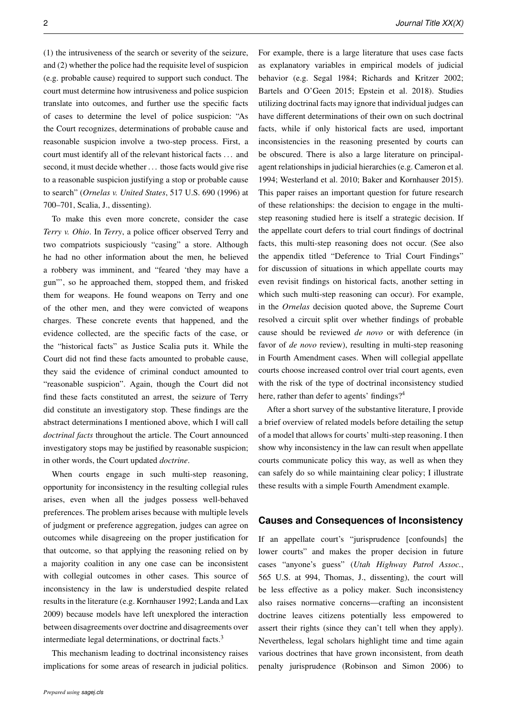(1) the intrusiveness of the search or severity of the seizure, and (2) whether the police had the requisite level of suspicion (e.g. probable cause) required to support such conduct. The court must determine how intrusiveness and police suspicion translate into outcomes, and further use the specific facts of cases to determine the level of police suspicion: "As the Court recognizes, determinations of probable cause and reasonable suspicion involve a two-step process. First, a court must identify all of the relevant historical facts . . . and second, it must decide whether . . . those facts would give rise to a reasonable suspicion justifying a stop or probable cause to search" (*Ornelas v. United States*, 517 U.S. 690 (1996) at 700–701, Scalia, J., dissenting).

To make this even more concrete, consider the case *Terry v. Ohio*. In *Terry*, a police officer observed Terry and two compatriots suspiciously "casing" a store. Although he had no other information about the men, he believed a robbery was imminent, and "feared 'they may have a gun"', so he approached them, stopped them, and frisked them for weapons. He found weapons on Terry and one of the other men, and they were convicted of weapons charges. These concrete events that happened, and the evidence collected, are the specific facts of the case, or the "historical facts" as Justice Scalia puts it. While the Court did not find these facts amounted to probable cause, they said the evidence of criminal conduct amounted to "reasonable suspicion". Again, though the Court did not find these facts constituted an arrest, the seizure of Terry did constitute an investigatory stop. These findings are the abstract determinations I mentioned above, which I will call *doctrinal facts* throughout the article. The Court announced investigatory stops may be justified by reasonable suspicion; in other words, the Court updated *doctrine*.

When courts engage in such multi-step reasoning, opportunity for inconsistency in the resulting collegial rules arises, even when all the judges possess well-behaved preferences. The problem arises because with multiple levels of judgment or preference aggregation, judges can agree on outcomes while disagreeing on the proper justification for that outcome, so that applying the reasoning relied on by a majority coalition in any one case can be inconsistent with collegial outcomes in other cases. This source of inconsistency in the law is understudied despite related results in the literature (e.g. Kornhauser 1992; Landa and Lax 2009) because models have left unexplored the interaction between disagreements over doctrine and disagreements over intermediate legal determinations, or doctrinal facts.<sup>3</sup>

This mechanism leading to doctrinal inconsistency raises implications for some areas of research in judicial politics. For example, there is a large literature that uses case facts as explanatory variables in empirical models of judicial behavior (e.g. Segal 1984; Richards and Kritzer 2002; Bartels and O'Geen 2015; Epstein et al. 2018). Studies utilizing doctrinal facts may ignore that individual judges can have different determinations of their own on such doctrinal facts, while if only historical facts are used, important inconsistencies in the reasoning presented by courts can be obscured. There is also a large literature on principalagent relationships in judicial hierarchies (e.g. Cameron et al. 1994; Westerland et al. 2010; Baker and Kornhauser 2015). This paper raises an important question for future research of these relationships: the decision to engage in the multistep reasoning studied here is itself a strategic decision. If the appellate court defers to trial court findings of doctrinal facts, this multi-step reasoning does not occur. (See also the appendix titled "Deference to Trial Court Findings" for discussion of situations in which appellate courts may even revisit findings on historical facts, another setting in which such multi-step reasoning can occur). For example, in the *Ornelas* decision quoted above, the Supreme Court resolved a circuit split over whether findings of probable cause should be reviewed *de novo* or with deference (in favor of *de novo* review), resulting in multi-step reasoning in Fourth Amendment cases. When will collegial appellate courts choose increased control over trial court agents, even with the risk of the type of doctrinal inconsistency studied here, rather than defer to agents' findings?<sup>4</sup>

After a short survey of the substantive literature, I provide a brief overview of related models before detailing the setup of a model that allows for courts' multi-step reasoning. I then show why inconsistency in the law can result when appellate courts communicate policy this way, as well as when they can safely do so while maintaining clear policy; I illustrate these results with a simple Fourth Amendment example.

### **Causes and Consequences of Inconsistency**

If an appellate court's "jurisprudence [confounds] the lower courts" and makes the proper decision in future cases "anyone's guess" (*Utah Highway Patrol Assoc.*, 565 U.S. at 994, Thomas, J., dissenting), the court will be less effective as a policy maker. Such inconsistency also raises normative concerns—crafting an inconsistent doctrine leaves citizens potentially less empowered to assert their rights (since they can't tell when they apply). Nevertheless, legal scholars highlight time and time again various doctrines that have grown inconsistent, from death penalty jurisprudence (Robinson and Simon 2006) to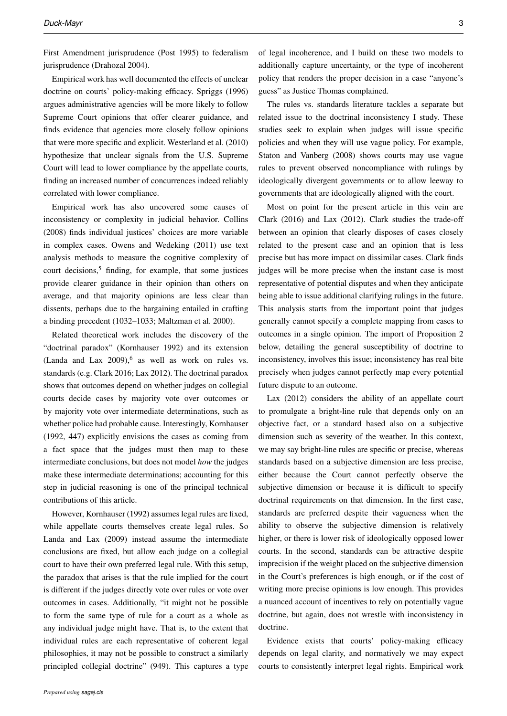First Amendment jurisprudence (Post 1995) to federalism jurisprudence (Drahozal 2004).

Empirical work has well documented the effects of unclear doctrine on courts' policy-making efficacy. Spriggs (1996) argues administrative agencies will be more likely to follow Supreme Court opinions that offer clearer guidance, and finds evidence that agencies more closely follow opinions that were more specific and explicit. Westerland et al. (2010) hypothesize that unclear signals from the U.S. Supreme Court will lead to lower compliance by the appellate courts, finding an increased number of concurrences indeed reliably correlated with lower compliance.

Empirical work has also uncovered some causes of inconsistency or complexity in judicial behavior. Collins (2008) finds individual justices' choices are more variable in complex cases. Owens and Wedeking (2011) use text analysis methods to measure the cognitive complexity of court decisions, $5$  finding, for example, that some justices provide clearer guidance in their opinion than others on average, and that majority opinions are less clear than dissents, perhaps due to the bargaining entailed in crafting a binding precedent (1032–1033; Maltzman et al. 2000).

Related theoretical work includes the discovery of the "doctrinal paradox" (Kornhauser 1992) and its extension (Landa and Lax  $2009$ ), as well as work on rules vs. standards (e.g. Clark 2016; Lax 2012). The doctrinal paradox shows that outcomes depend on whether judges on collegial courts decide cases by majority vote over outcomes or by majority vote over intermediate determinations, such as whether police had probable cause. Interestingly, Kornhauser (1992, 447) explicitly envisions the cases as coming from a fact space that the judges must then map to these intermediate conclusions, but does not model *how* the judges make these intermediate determinations; accounting for this step in judicial reasoning is one of the principal technical contributions of this article.

However, Kornhauser (1992) assumes legal rules are fixed, while appellate courts themselves create legal rules. So Landa and Lax (2009) instead assume the intermediate conclusions are fixed, but allow each judge on a collegial court to have their own preferred legal rule. With this setup, the paradox that arises is that the rule implied for the court is different if the judges directly vote over rules or vote over outcomes in cases. Additionally, "it might not be possible to form the same type of rule for a court as a whole as any individual judge might have. That is, to the extent that individual rules are each representative of coherent legal philosophies, it may not be possible to construct a similarly principled collegial doctrine" (949). This captures a type

of legal incoherence, and I build on these two models to additionally capture uncertainty, or the type of incoherent policy that renders the proper decision in a case "anyone's guess" as Justice Thomas complained.

The rules vs. standards literature tackles a separate but related issue to the doctrinal inconsistency I study. These studies seek to explain when judges will issue specific policies and when they will use vague policy. For example, Staton and Vanberg (2008) shows courts may use vague rules to prevent observed noncompliance with rulings by ideologically divergent governments or to allow leeway to governments that are ideologically aligned with the court.

Most on point for the present article in this vein are Clark (2016) and Lax (2012). Clark studies the trade-off between an opinion that clearly disposes of cases closely related to the present case and an opinion that is less precise but has more impact on dissimilar cases. Clark finds judges will be more precise when the instant case is most representative of potential disputes and when they anticipate being able to issue additional clarifying rulings in the future. This analysis starts from the important point that judges generally cannot specify a complete mapping from cases to outcomes in a single opinion. The import of Proposition 2 below, detailing the general susceptibility of doctrine to inconsistency, involves this issue; inconsistency has real bite precisely when judges cannot perfectly map every potential future dispute to an outcome.

Lax (2012) considers the ability of an appellate court to promulgate a bright-line rule that depends only on an objective fact, or a standard based also on a subjective dimension such as severity of the weather. In this context, we may say bright-line rules are specific or precise, whereas standards based on a subjective dimension are less precise, either because the Court cannot perfectly observe the subjective dimension or because it is difficult to specify doctrinal requirements on that dimension. In the first case, standards are preferred despite their vagueness when the ability to observe the subjective dimension is relatively higher, or there is lower risk of ideologically opposed lower courts. In the second, standards can be attractive despite imprecision if the weight placed on the subjective dimension in the Court's preferences is high enough, or if the cost of writing more precise opinions is low enough. This provides a nuanced account of incentives to rely on potentially vague doctrine, but again, does not wrestle with inconsistency in doctrine.

Evidence exists that courts' policy-making efficacy depends on legal clarity, and normatively we may expect courts to consistently interpret legal rights. Empirical work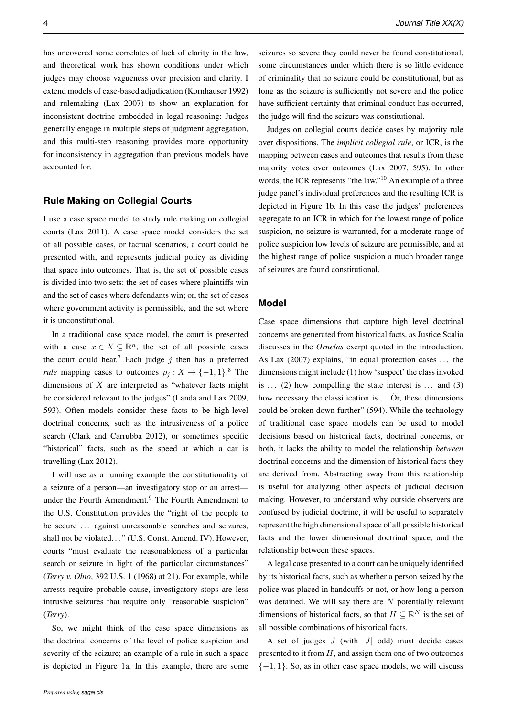has uncovered some correlates of lack of clarity in the law, and theoretical work has shown conditions under which judges may choose vagueness over precision and clarity. I extend models of case-based adjudication (Kornhauser 1992) and rulemaking (Lax 2007) to show an explanation for inconsistent doctrine embedded in legal reasoning: Judges generally engage in multiple steps of judgment aggregation, and this multi-step reasoning provides more opportunity for inconsistency in aggregation than previous models have accounted for.

## **Rule Making on Collegial Courts**

I use a case space model to study rule making on collegial courts (Lax 2011). A case space model considers the set of all possible cases, or factual scenarios, a court could be presented with, and represents judicial policy as dividing that space into outcomes. That is, the set of possible cases is divided into two sets: the set of cases where plaintiffs win and the set of cases where defendants win; or, the set of cases where government activity is permissible, and the set where it is unconstitutional.

In a traditional case space model, the court is presented with a case  $x \in X \subseteq \mathbb{R}^n$ , the set of all possible cases the court could hear.<sup>7</sup> Each judge  $j$  then has a preferred *rule* mapping cases to outcomes  $\rho_j : X \to \{-1, 1\}$ .<sup>8</sup> The dimensions of  $X$  are interpreted as "whatever facts might be considered relevant to the judges" (Landa and Lax 2009, 593). Often models consider these facts to be high-level doctrinal concerns, such as the intrusiveness of a police search (Clark and Carrubba 2012), or sometimes specific "historical" facts, such as the speed at which a car is travelling (Lax 2012).

I will use as a running example the constitutionality of a seizure of a person—an investigatory stop or an arrest under the Fourth Amendment.<sup>9</sup> The Fourth Amendment to the U.S. Constitution provides the "right of the people to be secure ... against unreasonable searches and seizures, shall not be violated..." (U.S. Const. Amend. IV). However, courts "must evaluate the reasonableness of a particular search or seizure in light of the particular circumstances" (*Terry v. Ohio*, 392 U.S. 1 (1968) at 21). For example, while arrests require probable cause, investigatory stops are less intrusive seizures that require only "reasonable suspicion" (*Terry*).

So, we might think of the case space dimensions as the doctrinal concerns of the level of police suspicion and severity of the seizure; an example of a rule in such a space is depicted in Figure 1a. In this example, there are some

seizures so severe they could never be found constitutional, some circumstances under which there is so little evidence of criminality that no seizure could be constitutional, but as long as the seizure is sufficiently not severe and the police have sufficient certainty that criminal conduct has occurred, the judge will find the seizure was constitutional.

Judges on collegial courts decide cases by majority rule over dispositions. The *implicit collegial rule*, or ICR, is the mapping between cases and outcomes that results from these majority votes over outcomes (Lax 2007, 595). In other words, the ICR represents "the law."<sup>10</sup> An example of a three judge panel's individual preferences and the resulting ICR is depicted in Figure 1b. In this case the judges' preferences aggregate to an ICR in which for the lowest range of police suspicion, no seizure is warranted, for a moderate range of police suspicion low levels of seizure are permissible, and at the highest range of police suspicion a much broader range of seizures are found constitutional.

## **Model**

Case space dimensions that capture high level doctrinal concerns are generated from historical facts, as Justice Scalia discusses in the *Ornelas* exerpt quoted in the introduction. As Lax (2007) explains, "in equal protection cases ... the dimensions might include (1) how 'suspect' the class invoked is  $\ldots$  (2) how compelling the state interest is  $\ldots$  and (3) how necessary the classification is  $\dots$  Or, these dimensions could be broken down further" (594). While the technology of traditional case space models can be used to model decisions based on historical facts, doctrinal concerns, or both, it lacks the ability to model the relationship *between* doctrinal concerns and the dimension of historical facts they are derived from. Abstracting away from this relationship is useful for analyzing other aspects of judicial decision making. However, to understand why outside observers are confused by judicial doctrine, it will be useful to separately represent the high dimensional space of all possible historical facts and the lower dimensional doctrinal space, and the relationship between these spaces.

A legal case presented to a court can be uniquely identified by its historical facts, such as whether a person seized by the police was placed in handcuffs or not, or how long a person was detained. We will say there are  $N$  potentially relevant dimensions of historical facts, so that  $H \subseteq \mathbb{R}^N$  is the set of all possible combinations of historical facts.

A set of judges  $J$  (with  $|J|$  odd) must decide cases presented to it from  $H$ , and assign them one of two outcomes  ${-1, 1}$ . So, as in other case space models, we will discuss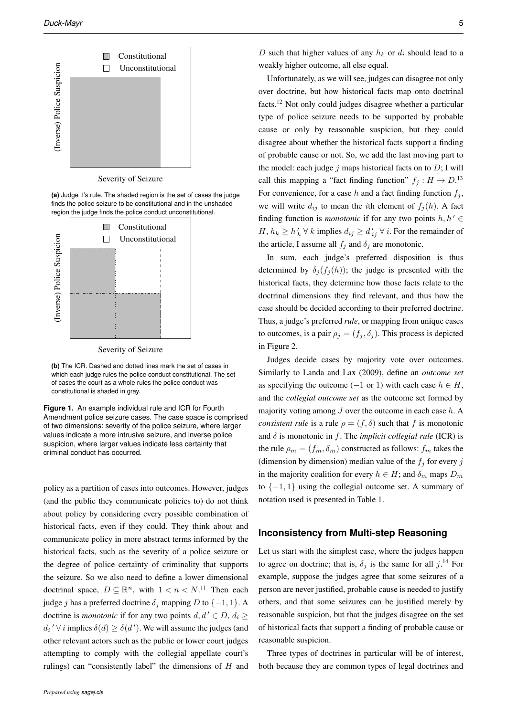

Severity of Seizure

**(a)** Judge 1's rule. The shaded region is the set of cases the judge finds the police seizure to be constitutional and in the unshaded region the judge finds the police conduct unconstitutional.



Severity of Seizure

**(b)** The ICR. Dashed and dotted lines mark the set of cases in which each judge rules the police conduct constitutional. The set of cases the court as a whole rules the police conduct was constitutional is shaded in gray.

**Figure 1.** An example individual rule and ICR for Fourth Amendment police seizure cases. The case space is comprised of two dimensions: severity of the police seizure, where larger values indicate a more intrusive seizure, and inverse police suspicion, where larger values indicate less certainty that criminal conduct has occurred.

policy as a partition of cases into outcomes. However, judges (and the public they communicate policies to) do not think about policy by considering every possible combination of historical facts, even if they could. They think about and communicate policy in more abstract terms informed by the historical facts, such as the severity of a police seizure or the degree of police certainty of criminality that supports the seizure. So we also need to define a lower dimensional doctrinal space,  $D \subseteq \mathbb{R}^n$ , with  $1 < n < N$ .<sup>11</sup> Then each judge *j* has a preferred doctrine  $\delta_i$  mapping D to  $\{-1, 1\}$ . A doctrine is *monotonic* if for any two points  $d, d' \in D$ ,  $d_i \geq$  $d_i' \forall i$  implies  $\delta(d) \geq \delta(d')$ . We will assume the judges (and other relevant actors such as the public or lower court judges attempting to comply with the collegial appellate court's rulings) can "consistently label" the dimensions of  $H$  and

D such that higher values of any  $h_k$  or  $d_i$  should lead to a weakly higher outcome, all else equal.

Unfortunately, as we will see, judges can disagree not only over doctrine, but how historical facts map onto doctrinal facts.<sup>12</sup> Not only could judges disagree whether a particular type of police seizure needs to be supported by probable cause or only by reasonable suspicion, but they could disagree about whether the historical facts support a finding of probable cause or not. So, we add the last moving part to the model: each judge  $j$  maps historical facts on to  $D$ ; I will call this mapping a "fact finding function"  $f_j : H \to D$ .<sup>13</sup> For convenience, for a case h and a fact finding function  $f_j$ , we will write  $d_{ij}$  to mean the *i*th element of  $f_i(h)$ . A fact finding function is *monotonic* if for any two points  $h, h' \in$  $H, h_k \geq h'_k \forall k$  implies  $d_{ij} \geq d'_{ij} \forall i$ . For the remainder of the article, I assume all  $f_j$  and  $\delta_j$  are monotonic.

In sum, each judge's preferred disposition is thus determined by  $\delta_i(f_i(h))$ ; the judge is presented with the historical facts, they determine how those facts relate to the doctrinal dimensions they find relevant, and thus how the case should be decided according to their preferred doctrine. Thus, a judge's preferred *rule*, or mapping from unique cases to outcomes, is a pair  $\rho_j = (f_j, \delta_j)$ . This process is depicted in Figure 2.

Judges decide cases by majority vote over outcomes. Similarly to Landa and Lax (2009), define an *outcome set* as specifying the outcome (−1 or 1) with each case  $h \in H$ , and the *collegial outcome set* as the outcome set formed by majority voting among  $J$  over the outcome in each case  $h$ . A *consistent rule* is a rule  $\rho = (f, \delta)$  such that f is monotonic and  $\delta$  is monotonic in f. The *implicit collegial rule* (ICR) is the rule  $\rho_m = (f_m, \delta_m)$  constructed as follows:  $f_m$  takes the (dimension by dimension) median value of the  $f_i$  for every j in the majority coalition for every  $h \in H$ ; and  $\delta_m$  maps  $D_m$ to  $\{-1, 1\}$  using the collegial outcome set. A summary of notation used is presented in Table 1.

#### **Inconsistency from Multi-step Reasoning**

Let us start with the simplest case, where the judges happen to agree on doctrine; that is,  $\delta_j$  is the same for all  $j$ .<sup>14</sup> For example, suppose the judges agree that some seizures of a person are never justified, probable cause is needed to justify others, and that some seizures can be justified merely by reasonable suspicion, but that the judges disagree on the set of historical facts that support a finding of probable cause or reasonable suspicion.

Three types of doctrines in particular will be of interest, both because they are common types of legal doctrines and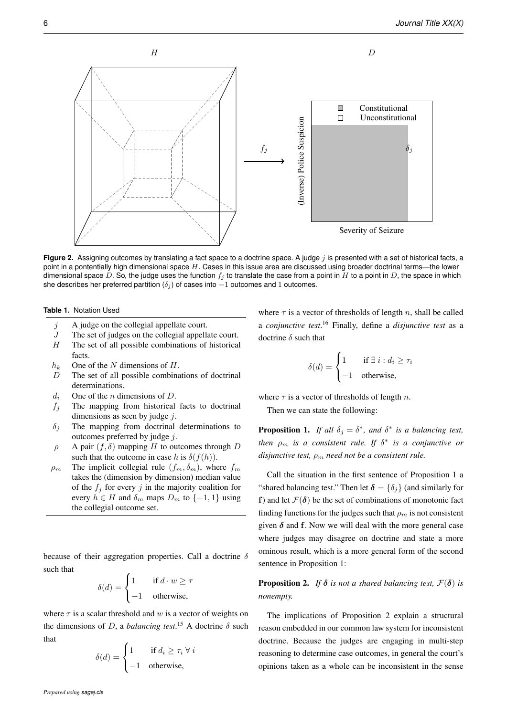

Figure 2. Assigning outcomes by translating a fact space to a doctrine space. A judge j is presented with a set of historical facts, a point in a pontentially high dimensional space  $H$ . Cases in this issue area are discussed using broader doctrinal terms—the lower dimensional space D. So, the judge uses the function  $f_i$  to translate the case from a point in H to a point in D, the space in which she describes her preferred partition ( $\delta_i$ ) of cases into  $-1$  outcomes and 1 outcomes.

#### **Table 1.** Notation Used

facts.

- $j$  A judge on the collegial appellate court.
- $J$  The set of judges on the collegial appellate court.  $H$  The set of all possible combinations of historical
- $h_k$  One of the N dimensions of H.
- D The set of all possible combinations of doctrinal determinations.
- $d_i$  One of the *n* dimensions of *D*.
- $f_i$  The mapping from historical facts to doctrinal dimensions as seen by judge  $j$ .
- $\delta_i$  The mapping from doctrinal determinations to outcomes preferred by judge  $i$ .
- $\rho$  A pair  $(f, \delta)$  mapping H to outcomes through D such that the outcome in case h is  $\delta(f(h))$ .
- $\rho_m$  The implicit collegial rule  $(f_m, \delta_m)$ , where  $f_m$ takes the (dimension by dimension) median value of the  $f_j$  for every j in the majority coalition for every  $h \in H$  and  $\delta_m$  maps  $D_m$  to  $\{-1, 1\}$  using the collegial outcome set.

because of their aggregation properties. Call a doctrine  $\delta$ such that

$$
\delta(d) = \begin{cases} 1 & \text{if } d \cdot w \ge \tau \\ -1 & \text{otherwise,} \end{cases}
$$

where  $\tau$  is a scalar threshold and w is a vector of weights on the dimensions of D, a *balancing test*.<sup>15</sup> A doctrine  $\delta$  such that

$$
\delta(d) = \begin{cases} 1 & \text{if } d_i \ge \tau_i \ \forall \ i \\ -1 & \text{otherwise,} \end{cases}
$$

where  $\tau$  is a vector of thresholds of length n, shall be called a *conjunctive test*. <sup>16</sup> Finally, define a *disjunctive test* as a doctrine  $\delta$  such that

$$
\delta(d) = \begin{cases} 1 & \text{if } \exists i : d_i \ge \tau_i \\ -1 & \text{otherwise,} \end{cases}
$$

where  $\tau$  is a vector of thresholds of length n.

Then we can state the following:

**Proposition 1.** *If all*  $\delta_j = \delta^*$ *, and*  $\delta^*$  *is a balancing test, then*  $\rho_m$  *is a consistent rule. If*  $\delta^*$  *is a conjunctive or disjunctive test,*  $\rho_m$  *need not be a consistent rule.* 

Call the situation in the first sentence of Proposition 1 a "shared balancing test." Then let  $\delta = {\delta_j}$  (and similarly for f) and let  $\mathcal{F}(\delta)$  be the set of combinations of monotonic fact finding functions for the judges such that  $\rho_m$  is not consistent given  $\delta$  and f. Now we will deal with the more general case where judges may disagree on doctrine and state a more ominous result, which is a more general form of the second sentence in Proposition 1:

**Proposition 2.** *If*  $\delta$  *is not a shared balancing test,*  $\mathcal{F}(\delta)$  *is nonempty.*

The implications of Proposition 2 explain a structural reason embedded in our common law system for inconsistent doctrine. Because the judges are engaging in multi-step reasoning to determine case outcomes, in general the court's opinions taken as a whole can be inconsistent in the sense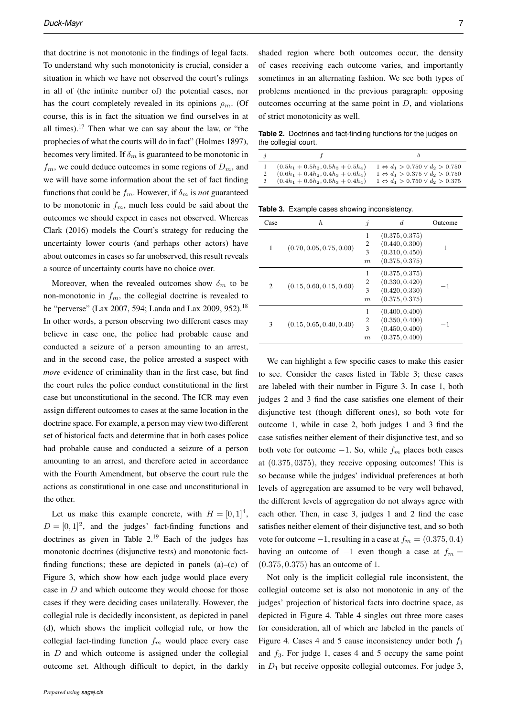that doctrine is not monotonic in the findings of legal facts. To understand why such monotonicity is crucial, consider a situation in which we have not observed the court's rulings in all of (the infinite number of) the potential cases, nor has the court completely revealed in its opinions  $\rho_m$ . (Of course, this is in fact the situation we find ourselves in at all times).<sup>17</sup> Then what we can say about the law, or "the prophecies of what the courts will do in fact" (Holmes 1897), becomes very limited. If  $\delta_m$  is guaranteed to be monotonic in  $f_m$ , we could deduce outcomes in some regions of  $D_m$ , and we will have some information about the set of fact finding functions that could be  $f_m$ . However, if  $\delta_m$  is *not* guaranteed to be monotonic in  $f_m$ , much less could be said about the outcomes we should expect in cases not observed. Whereas Clark (2016) models the Court's strategy for reducing the uncertainty lower courts (and perhaps other actors) have about outcomes in cases so far unobserved, this result reveals a source of uncertainty courts have no choice over.

Moreover, when the revealed outcomes show  $\delta_m$  to be non-monotonic in  $f_m$ , the collegial doctrine is revealed to be "perverse" (Lax 2007, 594; Landa and Lax 2009, 952).<sup>18</sup> In other words, a person observing two different cases may believe in case one, the police had probable cause and conducted a seizure of a person amounting to an arrest, and in the second case, the police arrested a suspect with *more* evidence of criminality than in the first case, but find the court rules the police conduct constitutional in the first case but unconstitutional in the second. The ICR may even assign different outcomes to cases at the same location in the doctrine space. For example, a person may view two different set of historical facts and determine that in both cases police had probable cause and conducted a seizure of a person amounting to an arrest, and therefore acted in accordance with the Fourth Amendment, but observe the court rule the actions as constitutional in one case and unconstitutional in the other.

Let us make this example concrete, with  $H = [0, 1]^4$ ,  $D = [0, 1]^2$ , and the judges' fact-finding functions and doctrines as given in Table  $2^{19}$  Each of the judges has monotonic doctrines (disjunctive tests) and monotonic factfinding functions; these are depicted in panels (a)–(c) of Figure 3, which show how each judge would place every case in  $D$  and which outcome they would choose for those cases if they were deciding cases unilaterally. However, the collegial rule is decidedly inconsistent, as depicted in panel (d), which shows the implicit collegial rule, or how the collegial fact-finding function  $f_m$  would place every case in  $D$  and which outcome is assigned under the collegial outcome set. Although difficult to depict, in the darkly

shaded region where both outcomes occur, the density of cases receiving each outcome varies, and importantly sometimes in an alternating fashion. We see both types of problems mentioned in the previous paragraph: opposing outcomes occurring at the same point in  $D$ , and violations

**Table 2.** Doctrines and fact-finding functions for the judges on the collegial court.

| $(0.5h_1 + 0.5h_2, 0.5h_3 + 0.5h_4)$<br>$(0.6h_1 + 0.4h_2, 0.4h_3 + 0.6h_4)$<br>3 $(0.4h_1 + 0.6h_2, 0.6h_3 + 0.4h_4)$ | $1 \Leftrightarrow d_1 > 0.750 \vee d_2 > 0.750$<br>$1 \Leftrightarrow d_1 > 0.375 \vee d_2 > 0.750$<br>$1 \Leftrightarrow d_1 > 0.750 \vee d_2 > 0.375$ |
|------------------------------------------------------------------------------------------------------------------------|----------------------------------------------------------------------------------------------------------------------------------------------------------|

**Table 3.** Example cases showing inconsistency.

of strict monotonicity as well.

| Case | h                        | İ                | d              | Outcome |
|------|--------------------------|------------------|----------------|---------|
|      | (0.70, 0.05, 0.75, 0.00) | 1                | (0.375, 0.375) |         |
|      |                          | 2                | (0.440, 0.300) | 1       |
| 1    |                          | 3                | (0.310, 0.450) |         |
|      |                          | $\boldsymbol{m}$ | (0.375, 0.375) |         |
|      | (0.15, 0.60, 0.15, 0.60) | 1                | (0.375, 0.375) |         |
| 2    |                          | 2                | (0.330, 0.420) | -1      |
|      |                          | 3                | (0.420, 0.330) |         |
|      |                          | $\boldsymbol{m}$ | (0.375, 0.375) |         |
|      | (0.15, 0.65, 0.40, 0.40) | 1                | (0.400, 0.400) |         |
|      |                          | 2                | (0.350, 0.400) | $-1$    |
| 3    |                          | 3                | (0.450, 0.400) |         |
|      |                          | $\boldsymbol{m}$ | (0.375, 0.400) |         |

We can highlight a few specific cases to make this easier to see. Consider the cases listed in Table 3; these cases are labeled with their number in Figure 3. In case 1, both judges 2 and 3 find the case satisfies one element of their disjunctive test (though different ones), so both vote for outcome 1, while in case 2, both judges 1 and 3 find the case satisfies neither element of their disjunctive test, and so both vote for outcome  $-1$ . So, while  $f_m$  places both cases at (0.375, 0375), they receive opposing outcomes! This is so because while the judges' individual preferences at both levels of aggregation are assumed to be very well behaved, the different levels of aggregation do not always agree with each other. Then, in case 3, judges 1 and 2 find the case satisfies neither element of their disjunctive test, and so both vote for outcome  $-1$ , resulting in a case at  $f_m = (0.375, 0.4)$ having an outcome of  $-1$  even though a case at  $f_m =$ (0.375, 0.375) has an outcome of 1.

Not only is the implicit collegial rule inconsistent, the collegial outcome set is also not monotonic in any of the judges' projection of historical facts into doctrine space, as depicted in Figure 4. Table 4 singles out three more cases for consideration, all of which are labeled in the panels of Figure 4. Cases 4 and 5 cause inconsistency under both  $f_1$ and  $f_3$ . For judge 1, cases 4 and 5 occupy the same point in  $D_1$  but receive opposite collegial outcomes. For judge 3,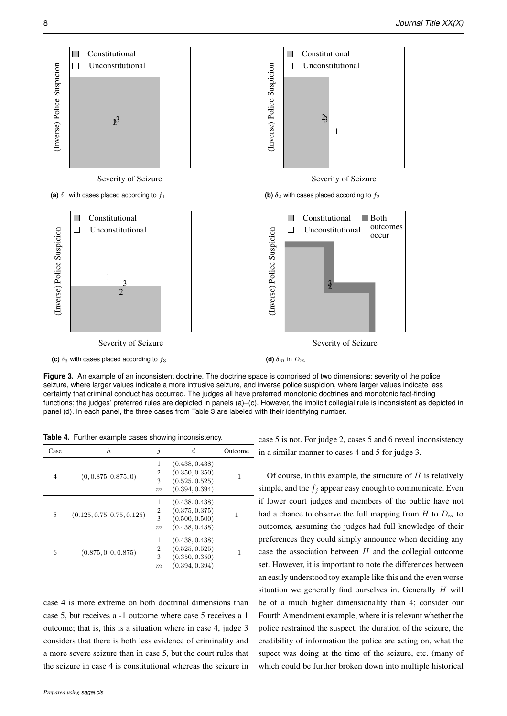

Figure 3. An example of an inconsistent doctrine. The doctrine space is comprised of two dimensions: severity of the police seizure, where larger values indicate a more intrusive seizure, and inverse police suspicion, where larger values indicate less certainty that criminal conduct has occurred. The judges all have preferred monotonic doctrines and monotonic fact-finding functions; the judges' preferred rules are depicted in panels (a)–(c). However, the implicit collegial rule is inconsistent as depicted in panel (d). In each panel, the three cases from Table 3 are labeled with their identifying number.

**Table 4.** Further example cases showing inconsistency.

| Case | h                          | İ                                            | $_{d}$                                                               | Outcome |
|------|----------------------------|----------------------------------------------|----------------------------------------------------------------------|---------|
| 4    | (0, 0.875, 0.875, 0)       | 1<br>$\overline{2}$<br>3<br>$\boldsymbol{m}$ | (0.438, 0.438)<br>(0.350, 0.350)<br>(0.525, 0.525)<br>(0.394, 0.394) | -1      |
| 5    | (0.125, 0.75, 0.75, 0.125) | 1<br>2<br>3<br>$\boldsymbol{m}$              | (0.438, 0.438)<br>(0.375, 0.375)<br>(0.500, 0.500)<br>(0.438, 0.438) |         |
| 6    | (0.875, 0, 0, 0.875)       | 1<br>$\overline{c}$<br>3<br>$\boldsymbol{m}$ | (0.438, 0.438)<br>(0.525, 0.525)<br>(0.350, 0.350)<br>(0.394, 0.394) | - 1     |

case 4 is more extreme on both doctrinal dimensions than case 5, but receives a -1 outcome where case 5 receives a 1 outcome; that is, this is a situation where in case 4, judge 3 considers that there is both less evidence of criminality and a more severe seizure than in case 5, but the court rules that the seizure in case 4 is constitutional whereas the seizure in

case 5 is not. For judge 2, cases 5 and 6 reveal inconsistency in a similar manner to cases 4 and 5 for judge 3.

Of course, in this example, the structure of  $H$  is relatively simple, and the  $f_i$  appear easy enough to communicate. Even if lower court judges and members of the public have not had a chance to observe the full mapping from  $H$  to  $D_m$  to outcomes, assuming the judges had full knowledge of their preferences they could simply announce when deciding any case the association between  $H$  and the collegial outcome set. However, it is important to note the differences between an easily understood toy example like this and the even worse situation we generally find ourselves in. Generally  $H$  will be of a much higher dimensionality than 4; consider our Fourth Amendment example, where it is relevant whether the police restrained the suspect, the duration of the seizure, the credibility of information the police are acting on, what the supect was doing at the time of the seizure, etc. (many of which could be further broken down into multiple historical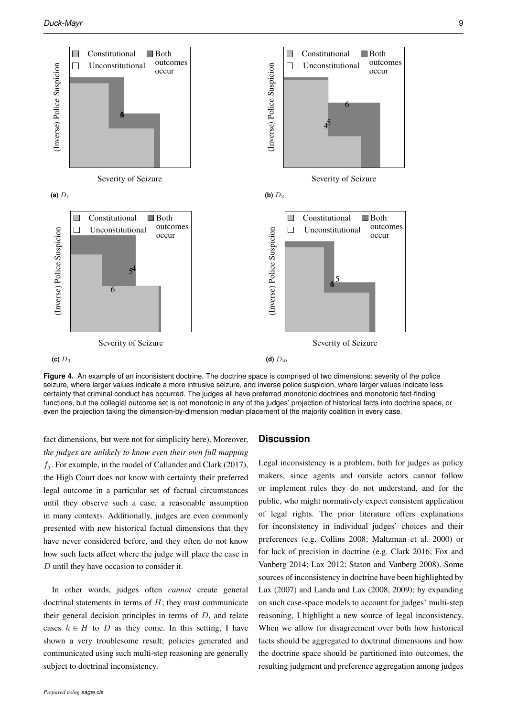

Figure 4. An example of an inconsistent doctrine. The doctrine space is comprised of two dimensions: severity of the police seizure, where larger values indicate a more intrusive seizure, and inverse police suspicion, where larger values indicate less certainty that criminal conduct has occurred. The judges all have preferred monotonic doctrines and monotonic fact-finding functions, but the collegial outcome set is not monotonic in any of the judges' projection of historical facts into doctrine space, or even the projection taking the dimension-by-dimension median placement of the majority coalition in every case.

fact dimensions, but were not for simplicity here). Moreover, *the judges are unlikely to know even their own full mapping*  $f_i$ . For example, in the model of Callander and Clark (2017), the High Court does not know with certainty their preferred legal outcome in a particular set of factual circumstances until they observe such a case, a reasonable assumption in many contexts. Additionally, judges are even commonly presented with new historical factual dimensions that they have never considered before, and they often do not know how such facts affect where the judge will place the case in D until they have occasion to consider it.

In other words, judges often *cannot* create general doctrinal statements in terms of  $H$ ; they must communicate their general decision principles in terms of  $D$ , and relate cases  $h \in H$  to D as they come. In this setting, I have shown a very troublesome result; policies generated and communicated using such multi-step reasoning are generally subject to doctrinal inconsistency.

#### **Discussion**

Legal inconsistency is a problem, both for judges as policy makers, since agents and outside actors cannot follow or implement rules they do not understand, and for the public, who might normatively expect consistent application of legal rights. The prior literature offers explanations for inconsistency in individual judges' choices and their preferences (e.g. Collins 2008; Maltzman et al. 2000) or for lack of precision in doctrine (e.g. Clark 2016; Fox and Vanberg 2014; Lax 2012; Staton and Vanberg 2008). Some sources of inconsistency in doctrine have been highlighted by Lax (2007) and Landa and Lax (2008, 2009); by expanding on such case-space models to account for judges' multi-step reasoning, I highlight a new source of legal inconsistency. When we allow for disagreement over both how historical facts should be aggregated to doctrinal dimensions and how the doctrine space should be partitioned into outcomes, the resulting judgment and preference aggregation among judges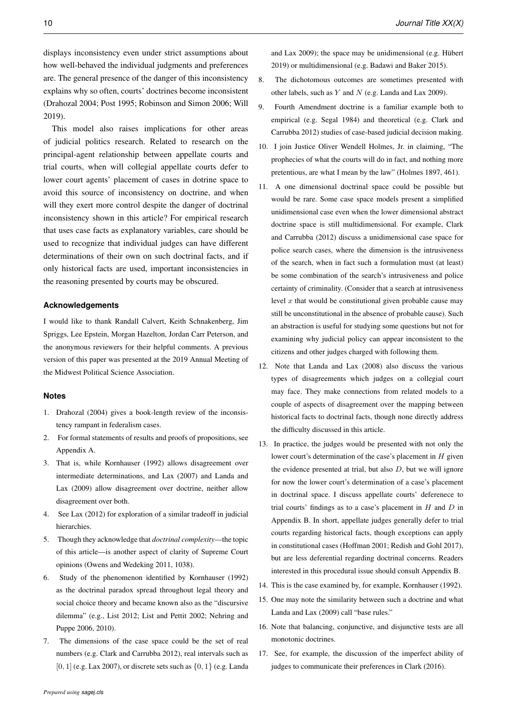displays inconsistency even under strict assumptions about how well-behaved the individual judgments and preferences are. The general presence of the danger of this inconsistency explains why so often, courts' doctrines become inconsistent (Drahozal 2004; Post 1995; Robinson and Simon 2006; Will 2019).

This model also raises implications for other areas of judicial politics research. Related to research on the principal-agent relationship between appellate courts and trial courts, when will collegial appellate courts defer to lower court agents' placement of cases in dotrine space to avoid this source of inconsistency on doctrine, and when will they exert more control despite the danger of doctrinal inconsistency shown in this article? For empirical research that uses case facts as explanatory variables, care should be used to recognize that individual judges can have different determinations of their own on such doctrinal facts, and if only historical facts are used, important inconsistencies in the reasoning presented by courts may be obscured.

#### **Acknowledgements**

I would like to thank Randall Calvert, Keith Schnakenberg, Jim Spriggs, Lee Epstein, Morgan Hazelton, Jordan Carr Peterson, and the anonymous reviewers for their helpful comments. A previous version of this paper was presented at the 2019 Annual Meeting of the Midwest Political Science Association.

#### **Notes**

- 1. Drahozal (2004) gives a book-length review of the inconsistency rampant in federalism cases.
- 2. For formal statements of results and proofs of propositions, see Appendix A.
- 3. That is, while Kornhauser (1992) allows disagreement over intermediate determinations, and Lax (2007) and Landa and Lax (2009) allow disagreement over doctrine, neither allow disagreement over both.
- 4. See Lax (2012) for exploration of a similar tradeoff in judicial hierarchies.
- 5. Though they acknowledge that *doctrinal complexity*—the topic of this article—is another aspect of clarity of Supreme Court opinions (Owens and Wedeking 2011, 1038).
- 6. Study of the phenomenon identified by Kornhauser (1992) as the doctrinal paradox spread throughout legal theory and social choice theory and became known also as the "discursive dilemma" (e.g., List 2012; List and Pettit 2002; Nehring and Puppe 2006, 2010).
- 7. The dimensions of the case space could be the set of real numbers (e.g. Clark and Carrubba 2012), real intervals such as [0, 1] (e.g. Lax 2007), or discrete sets such as  $\{0, 1\}$  (e.g. Landa
- 8. The dichotomous outcomes are sometimes presented with other labels, such as  $Y$  and  $N$  (e.g. Landa and Lax 2009).
- 9. Fourth Amendment doctrine is a familiar example both to empirical (e.g. Segal 1984) and theoretical (e.g. Clark and Carrubba 2012) studies of case-based judicial decision making.
- 10. I join Justice Oliver Wendell Holmes, Jr. in claiming, "The prophecies of what the courts will do in fact, and nothing more pretentious, are what I mean by the law" (Holmes 1897, 461).
- 11. A one dimensional doctrinal space could be possible but would be rare. Some case space models present a simplified unidimensional case even when the lower dimensional abstract doctrine space is still multidimensional. For example, Clark and Carrubba (2012) discuss a unidimensional case space for police search cases, where the dimension is the intrusiveness of the search, when in fact such a formulation must (at least) be some combination of the search's intrusiveness and police certainty of criminality. (Consider that a search at intrusiveness level  $x$  that would be constitutional given probable cause may still be unconstitutional in the absence of probable cause). Such an abstraction is useful for studying some questions but not for examining why judicial policy can appear inconsistent to the citizens and other judges charged with following them.
- 12. Note that Landa and Lax (2008) also discuss the various types of disagreements which judges on a collegial court may face. They make connections from related models to a couple of aspects of disagreement over the mapping between historical facts to doctrinal facts, though none directly address the difficulty discussed in this article.
- 13. In practice, the judges would be presented with not only the lower court's determination of the case's placement in  $H$  given the evidence presented at trial, but also  $D$ , but we will ignore for now the lower court's determination of a case's placement in doctrinal space. I discuss appellate courts' deferenece to trial courts' findings as to a case's placement in  $H$  and  $D$  in Appendix B. In short, appellate judges generally defer to trial courts regarding historical facts, though exceptions can apply in constitutional cases (Hoffman 2001; Redish and Gohl 2017), but are less deferential regarding doctrinal concerns. Readers interested in this procedural issue should consult Appendix B.
- 14. This is the case examined by, for example, Kornhauser (1992).
- 15. One may note the similarity between such a doctrine and what Landa and Lax (2009) call "base rules."
- 16. Note that balancing, conjunctive, and disjunctive tests are all monotonic doctrines.
- 17. See, for example, the discussion of the imperfect ability of judges to communicate their preferences in Clark (2016).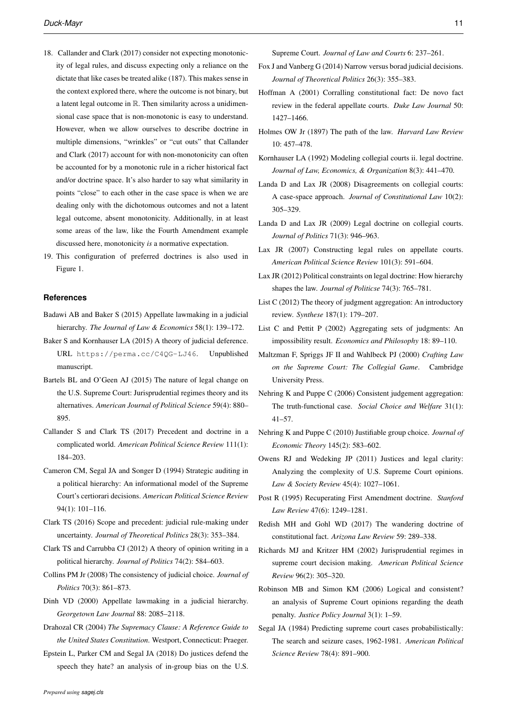- 18. Callander and Clark (2017) consider not expecting monotonicity of legal rules, and discuss expecting only a reliance on the dictate that like cases be treated alike (187). This makes sense in the context explored there, where the outcome is not binary, but a latent legal outcome in R. Then similarity across a unidimensional case space that is non-monotonic is easy to understand. However, when we allow ourselves to describe doctrine in multiple dimensions, "wrinkles" or "cut outs" that Callander and Clark (2017) account for with non-monotonicity can often be accounted for by a monotonic rule in a richer historical fact and/or doctrine space. It's also harder to say what similarity in points "close" to each other in the case space is when we are dealing only with the dichotomous outcomes and not a latent legal outcome, absent monotonicity. Additionally, in at least some areas of the law, like the Fourth Amendment example discussed here, monotonicity *is* a normative expectation.
- 19. This configuration of preferred doctrines is also used in Figure 1.

#### **References**

- Badawi AB and Baker S (2015) Appellate lawmaking in a judicial hierarchy. *The Journal of Law & Economics* 58(1): 139–172.
- Baker S and Kornhauser LA (2015) A theory of judicial deference. URL https://perma.cc/C4QG-LJ46. Unpublished manuscript.
- Bartels BL and O'Geen AJ (2015) The nature of legal change on the U.S. Supreme Court: Jurisprudential regimes theory and its alternatives. *American Journal of Political Science* 59(4): 880– 895.
- Callander S and Clark TS (2017) Precedent and doctrine in a complicated world. *American Political Science Review* 111(1): 184–203.
- Cameron CM, Segal JA and Songer D (1994) Strategic auditing in a political hierarchy: An informational model of the Supreme Court's certiorari decisions. *American Political Science Review* 94(1): 101–116.
- Clark TS (2016) Scope and precedent: judicial rule-making under uncertainty. *Journal of Theoretical Politics* 28(3): 353–384.
- Clark TS and Carrubba CJ (2012) A theory of opinion writing in a political hierarchy. *Journal of Politics* 74(2): 584–603.
- Collins PM Jr (2008) The consistency of judicial choice. *Journal of Politics* 70(3): 861–873.
- Dinh VD (2000) Appellate lawmaking in a judicial hierarchy. *Georgetown Law Journal* 88: 2085–2118.
- Drahozal CR (2004) *The Supremacy Clause: A Reference Guide to the United States Constitution*. Westport, Connecticut: Praeger.
- Epstein L, Parker CM and Segal JA (2018) Do justices defend the speech they hate? an analysis of in-group bias on the U.S.

Supreme Court. *Journal of Law and Courts* 6: 237–261.

- Fox J and Vanberg G (2014) Narrow versus borad judicial decisions. *Journal of Theoretical Politics* 26(3): 355–383.
- Hoffman A (2001) Corralling constitutional fact: De novo fact review in the federal appellate courts. *Duke Law Journal* 50: 1427–1466.
- Holmes OW Jr (1897) The path of the law. *Harvard Law Review* 10: 457–478.
- Kornhauser LA (1992) Modeling collegial courts ii. legal doctrine. *Journal of Law, Economics, & Organization* 8(3): 441–470.
- Landa D and Lax JR (2008) Disagreements on collegial courts: A case-space approach. *Journal of Constitutional Law* 10(2): 305–329.
- Landa D and Lax JR (2009) Legal doctrine on collegial courts. *Journal of Politics* 71(3): 946–963.
- Lax JR (2007) Constructing legal rules on appellate courts. *American Political Science Review* 101(3): 591–604.
- Lax JR (2012) Political constraints on legal doctrine: How hierarchy shapes the law. *Journal of Politicse* 74(3): 765–781.
- List C (2012) The theory of judgment aggregation: An introductory review. *Synthese* 187(1): 179–207.
- List C and Pettit P (2002) Aggregating sets of judgments: An impossibility result. *Economics and Philosophy* 18: 89–110.
- Maltzman F, Spriggs JF II and Wahlbeck PJ (2000) *Crafting Law on the Supreme Court: The Collegial Game*. Cambridge University Press.
- Nehring K and Puppe C (2006) Consistent judgement aggregation: The truth-functional case. *Social Choice and Welfare* 31(1): 41–57.
- Nehring K and Puppe C (2010) Justifiable group choice. *Journal of Economic Theory* 145(2): 583–602.
- Owens RJ and Wedeking JP (2011) Justices and legal clarity: Analyzing the complexity of U.S. Supreme Court opinions. *Law & Society Review* 45(4): 1027–1061.
- Post R (1995) Recuperating First Amendment doctrine. *Stanford Law Review* 47(6): 1249–1281.
- Redish MH and Gohl WD (2017) The wandering doctrine of constitutional fact. *Arizona Law Review* 59: 289–338.
- Richards MJ and Kritzer HM (2002) Jurisprudential regimes in supreme court decision making. *American Political Science Review* 96(2): 305–320.
- Robinson MB and Simon KM (2006) Logical and consistent? an analysis of Supreme Court opinions regarding the death penalty. *Justice Policy Journal* 3(1): 1–59.
- Segal JA (1984) Predicting supreme court cases probabilistically: The search and seizure cases, 1962-1981. *American Political Science Review* 78(4): 891–900.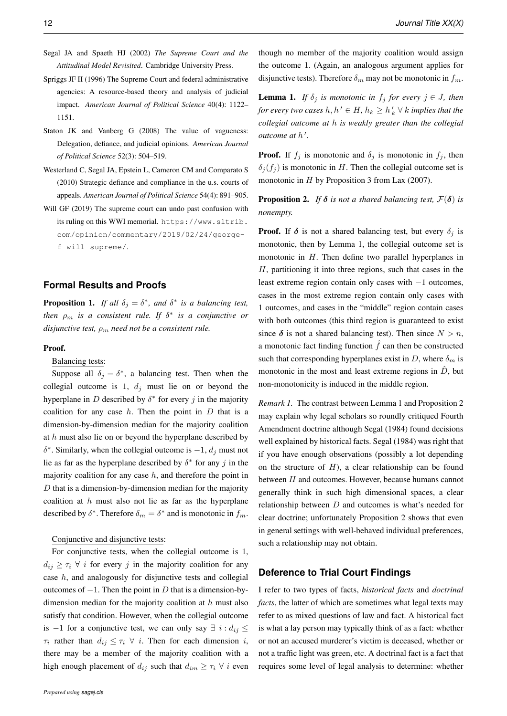- Segal JA and Spaeth HJ (2002) *The Supreme Court and the Attitudinal Model Revisited*. Cambridge University Press.
- Spriggs JF II (1996) The Supreme Court and federal administrative agencies: A resource-based theory and analysis of judicial impact. *American Journal of Political Science* 40(4): 1122– 1151.
- Staton JK and Vanberg G (2008) The value of vagueness: Delegation, defiance, and judicial opinions. *American Journal of Political Science* 52(3): 504–519.
- Westerland C, Segal JA, Epstein L, Cameron CM and Comparato S (2010) Strategic defiance and compliance in the u.s. courts of appeals. *American Journal of Political Science* 54(4): 891–905.
- Will GF (2019) The supreme court can undo past confusion with its ruling on this WWI memorial. https://www.sltrib. com/opinion/commentary/2019/02/24/georgef-will-supreme/.

## **Formal Results and Proofs**

**Proposition 1.** If all  $\delta_j = \delta^*$ , and  $\delta^*$  is a balancing test, *then* ρ<sup>m</sup> *is a consistent rule. If* δ ∗ *is a conjunctive or disjunctive test,*  $\rho_m$  *need not be a consistent rule.* 

### Proof.

Balancing tests:

Suppose all  $\delta_j = \delta^*$ , a balancing test. Then when the collegial outcome is 1,  $d_j$  must lie on or beyond the hyperplane in D described by  $\delta^*$  for every j in the majority coalition for any case  $h$ . Then the point in  $D$  that is a dimension-by-dimension median for the majority coalition at  $h$  must also lie on or beyond the hyperplane described by  $\delta^*$ . Similarly, when the collegial outcome is  $-1$ ,  $d_j$  must not lie as far as the hyperplane described by  $\delta^*$  for any j in the majority coalition for any case  $h$ , and therefore the point in  $D$  that is a dimension-by-dimension median for the majority coalition at  $h$  must also not lie as far as the hyperplane described by  $\delta^*$ . Therefore  $\delta_m = \delta^*$  and is monotonic in  $f_m$ .

#### Conjunctive and disjunctive tests:

For conjunctive tests, when the collegial outcome is 1,  $d_{ij} \geq \tau_i \ \forall \ i$  for every j in the majority coalition for any case h, and analogously for disjunctive tests and collegial outcomes of  $-1$ . Then the point in D that is a dimension-bydimension median for the majority coalition at  $h$  must also satisfy that condition. However, when the collegial outcome is −1 for a conjunctive test, we can only say  $\exists i : d_{ij} \leq$  $\tau_i$  rather than  $d_{ij} \leq \tau_i \ \forall \ i$ . Then for each dimension i, there may be a member of the majority coalition with a high enough placement of  $d_{ij}$  such that  $d_{im} \geq \tau_i \ \forall \ i$  even

though no member of the majority coalition would assign the outcome 1. (Again, an analogous argument applies for disjunctive tests). Therefore  $\delta_m$  may not be monotonic in  $f_m$ .

**Lemma 1.** *If*  $\delta_j$  *is monotonic in*  $f_j$  *for every*  $j \in J$ *, then* for every two cases  $h, h' \in H$ ,  $h_k \geq h'_k \forall k$  *implies that the collegial outcome at* h *is weakly greater than the collegial outcome at*  $h'$ .

**Proof.** If  $f_i$  is monotonic and  $\delta_i$  is monotonic in  $f_i$ , then  $\delta_i(f_i)$  is monotonic in H. Then the collegial outcome set is monotonic in  $H$  by Proposition 3 from Lax (2007).

**Proposition 2.** *If*  $\delta$  *is not a shared balancing test,*  $\mathcal{F}(\delta)$  *is nonempty.*

**Proof.** If  $\delta$  is not a shared balancing test, but every  $\delta_i$  is monotonic, then by Lemma 1, the collegial outcome set is monotonic in  $H$ . Then define two parallel hyperplanes in  $H$ , partitioning it into three regions, such that cases in the least extreme region contain only cases with −1 outcomes, cases in the most extreme region contain only cases with 1 outcomes, and cases in the "middle" region contain cases with both outcomes (this third region is guaranteed to exist since  $\delta$  is not a shared balancing test). Then since  $N > n$ , a monotonic fact finding function  $\hat{f}$  can then be constructed such that corresponding hyperplanes exist in D, where  $\delta_m$  is monotonic in the most and least extreme regions in  $\ddot{D}$ , but non-monotonicity is induced in the middle region.

*Remark 1.* The contrast between Lemma 1 and Proposition 2 may explain why legal scholars so roundly critiqued Fourth Amendment doctrine although Segal (1984) found decisions well explained by historical facts. Segal (1984) was right that if you have enough observations (possibly a lot depending on the structure of  $H$ ), a clear relationship can be found between H and outcomes. However, because humans cannot generally think in such high dimensional spaces, a clear relationship between  $D$  and outcomes is what's needed for clear doctrine; unfortunately Proposition 2 shows that even in general settings with well-behaved individual preferences, such a relationship may not obtain.

## **Deference to Trial Court Findings**

I refer to two types of facts, *historical facts* and *doctrinal facts*, the latter of which are sometimes what legal texts may refer to as mixed questions of law and fact. A historical fact is what a lay person may typically think of as a fact: whether or not an accused murderer's victim is deceased, whether or not a traffic light was green, etc. A doctrinal fact is a fact that requires some level of legal analysis to determine: whether